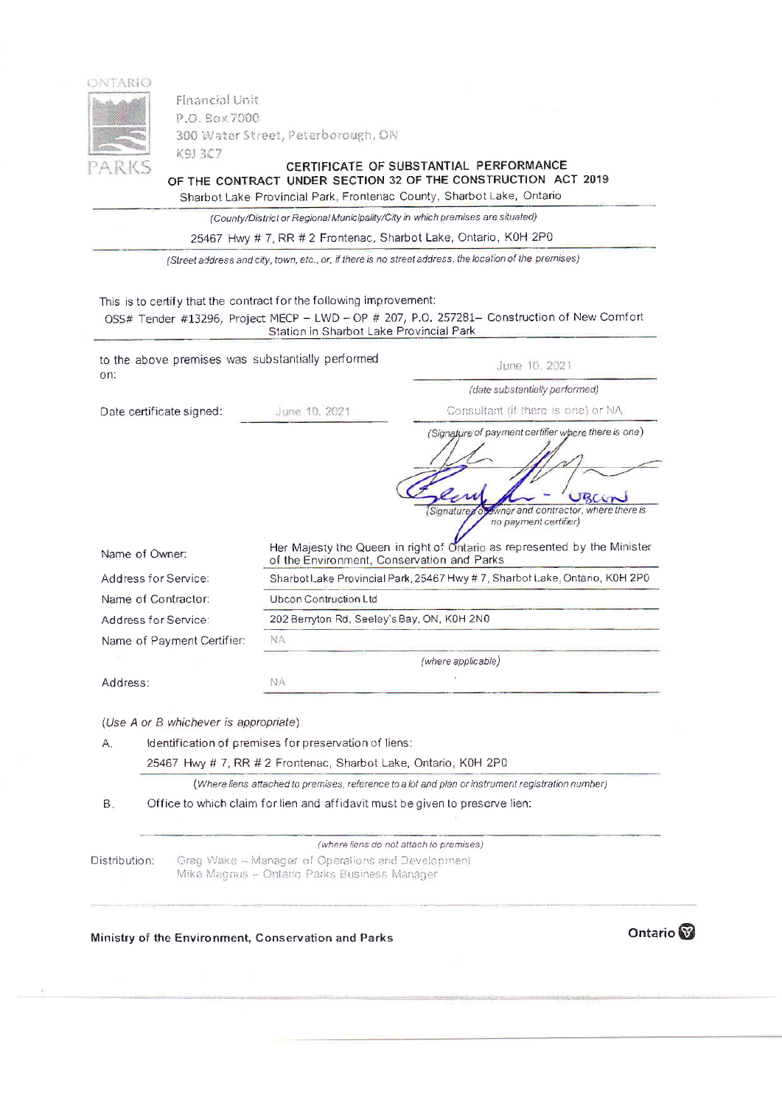

**Financial Unit** P.O. Box 7000 300 Water Street, Peterborough, ON K9J 3C7

CERTIFICATE OF SUBSTANTIAL PERFORMANCE OF THE CONTRACT UNDER SECTION 32 OF THE CONSTRUCTION ACT 2019

|  |  | Sharbot Lake Provincial Park, Frontenac County, Sharbot Lake, Ontario |  |
|--|--|-----------------------------------------------------------------------|--|
|  |  |                                                                       |  |

(County/District or Regional Municipality/City in which premises are situated)

25467 Hwy # 7, RR # 2 Frontenac, Sharbot Lake, Ontario, K0H 2P0

(Street address and city, town, etc., or, if there is no street address, the location of the premises)

This is to certify that the contract for the following improvement:

|                                                          | Station in Sharbot Lake Provincial Park                                                                                                                                           |                                                                                                                                                              |  |  |  |  |
|----------------------------------------------------------|-----------------------------------------------------------------------------------------------------------------------------------------------------------------------------------|--------------------------------------------------------------------------------------------------------------------------------------------------------------|--|--|--|--|
| to the above premises was substantially performed<br>on: |                                                                                                                                                                                   | June 10, 2021                                                                                                                                                |  |  |  |  |
|                                                          |                                                                                                                                                                                   | (date substantially performed)                                                                                                                               |  |  |  |  |
| Date certificate signed:                                 | June 10, 2021                                                                                                                                                                     | Consultant (if there is one) or NA                                                                                                                           |  |  |  |  |
|                                                          |                                                                                                                                                                                   | (Signature of payment certifier where there is one)                                                                                                          |  |  |  |  |
| Name of Owner:                                           | of the Environment, Conservation and Parks                                                                                                                                        | BCC<br>wher and contractor, where there is<br>Signature<br>no payment certifier)<br>Her Majesty the Queen in right of Ontario as represented by the Minister |  |  |  |  |
| Address for Service:                                     | Sharbot Lake Provincial Park, 25467 Hwy # 7, Sharbot Lake, Ontario, K0H 2P0                                                                                                       |                                                                                                                                                              |  |  |  |  |
| Name of Contractor:                                      | Ubcon Contruction Ltd                                                                                                                                                             |                                                                                                                                                              |  |  |  |  |
| Address for Service:                                     | 202 Berryton Rd, Seeley's Bay, ON, K0H 2N0                                                                                                                                        |                                                                                                                                                              |  |  |  |  |
| Name of Payment Certifier:                               | NA                                                                                                                                                                                |                                                                                                                                                              |  |  |  |  |
|                                                          |                                                                                                                                                                                   | (where applicable)                                                                                                                                           |  |  |  |  |
| Address:                                                 | NA                                                                                                                                                                                |                                                                                                                                                              |  |  |  |  |
| (Use A or B whichever is appropriate)                    |                                                                                                                                                                                   |                                                                                                                                                              |  |  |  |  |
| Α.                                                       | Identification of premises for preservation of liens:<br>25467 Hwy # 7, RR # 2 Frontenac, Sharbot Lake, Ontario, K0H 2P0                                                          |                                                                                                                                                              |  |  |  |  |
|                                                          |                                                                                                                                                                                   |                                                                                                                                                              |  |  |  |  |
|                                                          | (Where liens attached to premises, reference to a lot and plan or instrument registration number)<br>Office to which claim for lien and affidavit must be given to preserve lien: |                                                                                                                                                              |  |  |  |  |
| В.                                                       |                                                                                                                                                                                   |                                                                                                                                                              |  |  |  |  |
|                                                          | (where liens do not attach to premises)                                                                                                                                           |                                                                                                                                                              |  |  |  |  |
| Distribution:                                            | Greg Wake - Manager of Operations and Development<br>Mike Magnus - Ontario Parks Business Manager                                                                                 |                                                                                                                                                              |  |  |  |  |

Ministry of the Environment, Conservation and Parks

Ontario<sup>®</sup>